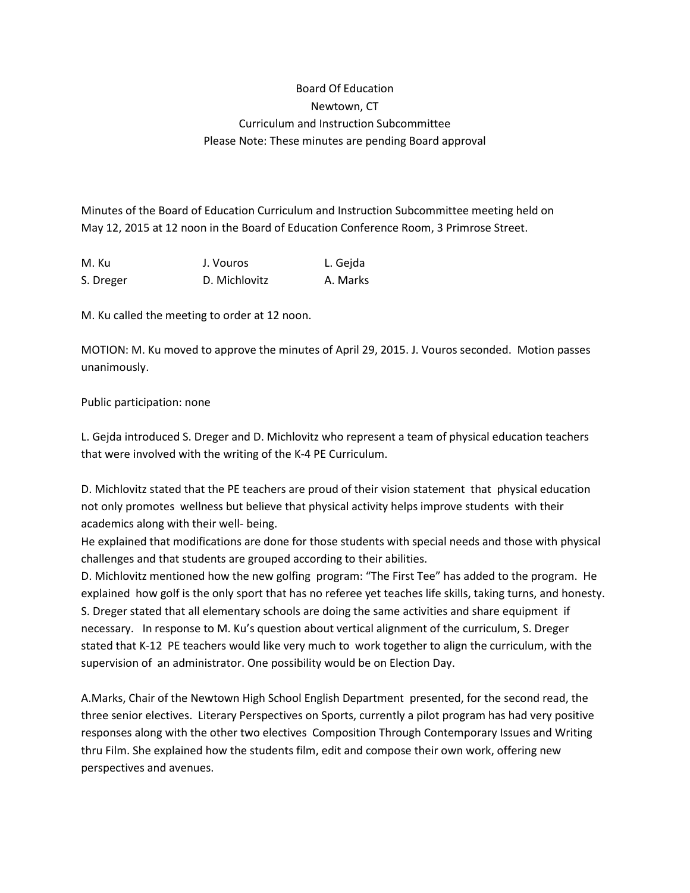## Board Of Education Newtown, CT Curriculum and Instruction Subcommittee Please Note: These minutes are pending Board approval

Minutes of the Board of Education Curriculum and Instruction Subcommittee meeting held on May 12, 2015 at 12 noon in the Board of Education Conference Room, 3 Primrose Street.

| M. Ku     | J. Vouros     | L. Gejda |
|-----------|---------------|----------|
| S. Dreger | D. Michlovitz | A. Marks |

M. Ku called the meeting to order at 12 noon.

MOTION: M. Ku moved to approve the minutes of April 29, 2015. J. Vouros seconded. Motion passes unanimously.

Public participation: none

L. Gejda introduced S. Dreger and D. Michlovitz who represent a team of physical education teachers that were involved with the writing of the K-4 PE Curriculum.

D. Michlovitz stated that the PE teachers are proud of their vision statement that physical education not only promotes wellness but believe that physical activity helps improve students with their academics along with their well- being.

He explained that modifications are done for those students with special needs and those with physical challenges and that students are grouped according to their abilities.

D. Michlovitz mentioned how the new golfing program: "The First Tee" has added to the program. He explained how golf is the only sport that has no referee yet teaches life skills, taking turns, and honesty. S. Dreger stated that all elementary schools are doing the same activities and share equipment if necessary. In response to M. Ku's question about vertical alignment of the curriculum, S. Dreger stated that K-12 PE teachers would like very much to work together to align the curriculum, with the supervision of an administrator. One possibility would be on Election Day.

A.Marks, Chair of the Newtown High School English Department presented, for the second read, the three senior electives. Literary Perspectives on Sports, currently a pilot program has had very positive responses along with the other two electives Composition Through Contemporary Issues and Writing thru Film. She explained how the students film, edit and compose their own work, offering new perspectives and avenues.